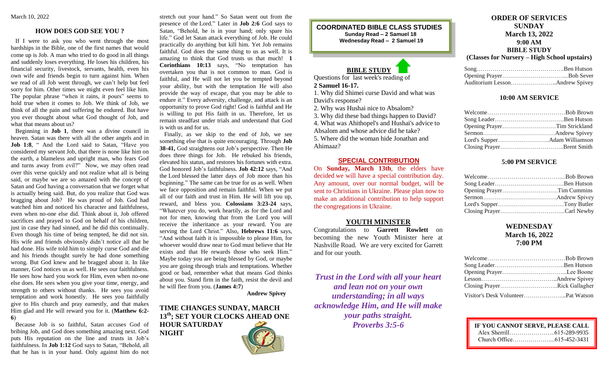# **HOW DOES GOD SEE YOU ?**

 If I were to ask you who went through the most hardships in the Bible, one of the first names that would come up is Job. A man who tried to do good in all things and suddenly loses everything. He loses his children, his financial security, livestock, servants, health, even his own wife and friends begin to turn against him. When we read of all Job went through, we can't help but feel sorry for him. Other times we might even feel like him. The popular phrase "when it rains, it pours" seems to hold true when it comes to Job. We think of Job, we think of all the pain and suffering he endured. But have you ever thought about what God thought of Job, and what that means about us?

 Beginning in **Job 1**, there was a divine council in heaven. Satan was there with all the other angels and in **Job 1:8**, " And the Lord said to Satan, "Have you considered my servant Job, that there is none like him on the earth, a blameless and upright man, who fears God and turns away from evil?" Now, we may often read over this verse quickly and not realize what all is being said, or maybe we are so amazed with the concept of Satan and God having a conversation that we forget what is actually being said. But, do you realize that God was bragging about Job? He was proud of Job. God had watched him and noticed his character and faithfulness, even when no-one else did. Think about it, Job offered sacrifices and prayed to God on behalf of his children, just in case they had sinned, and he did this continually. Even though his time of being tempted, he did not sin. His wife and friends obviously didn't notice all that he had done. His wife told him to simply curse God and die and his friends thought surely he had done something wrong. But God knew and he bragged about it. In like manner, God notices us as well. He sees our faithfulness. He sees how hard you work for Him, even when no-one else does. He sees when you give your time, energy, and strength to others without thanks. He sees you avoid temptation and work honestly. He sees you faithfully give to His church and pray earnestly, and that makes Him glad and He will reward you for it. (**Matthew 6:2- 6**)

 Because Job is so faithful, Satan accuses God of bribing Job, and God does something amazing next. God puts His reputation on the line and trusts in Job's faithfulness. In **Job 1:12** God says to Satan, "Behold, all that he has is in your hand. Only against him do not stretch out your hand." So Satan went out from the presence of the Lord." Later in **Job 2:6** God says to Satan, "Behold, he is in your hand; only spare his life." God let Satan attack everything of Job. He could practically do anything but kill him. Yet Job remains faithful. God does the same thing to us as well. It is amazing to think that God trusts us that much! **1 Corinthians 10:13** says, "No temptation has overtaken you that is not common to man. God is faithful, and He will not let you be tempted beyond your ability, but with the temptation He will also provide the way of escape, that you may be able to endure it." Every adversity, challenge, and attack is an opportunity to prove God right! God is faithful and He is willing to put His faith in us. Therefore, let us remain steadfast under trials and understand that God is with us and for us.

 Finally, as we skip to the end of Job, we see something else that is quite encouraging. Through **Job 38-41,** God straightens out Job's perspective. Then He does three things for Job. He rebuked his friends, elevated his status, and restores his fortunes with extra. God honored Job's faithfulness. **Job 42:12** says, "And the Lord blessed the latter days of Job more than his beginning." The same can be true for us as well. When we face opposition and remain faithful. When we put all of our faith and trust in Him. He will lift you up, reward, and bless you. **Colossians 3:23-24** says, "Whatever you do, work heartily, as for the Lord and not for men, knowing that from the Lord you will receive the inheritance as your reward. You are serving the Lord Christ." Also, **Hebrews 11:6** says, "And without faith it is impossible to please Him, for whoever would draw near to God must believe that He exists and that He rewards those who seek Him." Maybe today you are being blessed by God, or maybe you are going through trials and temptations. Whether good or bad, remember what that means God thinks about you. Stand firm in the faith, resist the devil and he will flee from you. (**James 4:7**)

**Andrew Spivey**

# **TIME CHANGES SUNDAY, MARCH 13 th; SET YOUR CLOCKS AHEAD ONE HOUR SATURDAY NIGHT**



# **COORDINATED BIBLE CLASS STUDIES Sunday Read – 2 Samuel 18 Wednesday Read – 2 Samuel 19**

# **BIBLE STUDY**

Questions for last week's reading of

# **2 Samuel 16-17.**

1. Why did Shimei curse David and what was David's response?

2. Why was Hushai nice to Absalom?

3. Why did these bad things happen to David?

4. What was Ahithopel's and Hushai's advice to

Absalom and whose advice did he take? 5. Where did the woman hide Jonathan and Ahimaaz?

### **SPECIAL CONTRIBUTION**

On **Sunday, March 13th**, the elders have decided we will have a special contribution day. Any amount, over our normal budget, will be sent to Christians in Ukraine. Please plan now to make an additional contribution to help support the congregations in Ukraine.

# **YOUTH MINISTER**

Congratulations to **Garrett Rowlett** on becoming the new Youth Minister here at Nashville Road. We are very excited for Garrett and for our youth.

*Trust in the Lord with all your heart and lean not on your own understanding; in all ways acknowledge Him, and He will make your paths straight. Proverbs 3:5-6*

# **ORDER OF SERVICES SUNDAY March 13, 2022 9:00 AM BIBLE STUDY**

# **(Classes for Nursery – High School upstairs)**

## **10:00 AM SERVICE**

# **5:00 PM SERVICE**

# **WEDNESDAY March 16, 2022 7:00 PM**

| Closing PrayerRick Gallagher |  |
|------------------------------|--|
|                              |  |

| IF YOU CANNOT SERVE, PLEASE CALL |  |
|----------------------------------|--|
|                                  |  |
|                                  |  |
|                                  |  |